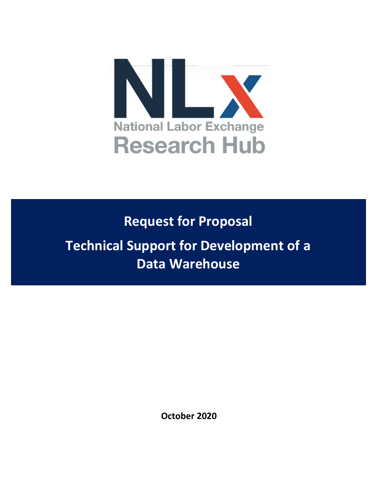

**Request for Proposal**

**Technical Support for Development of a Data Warehouse**

**October 2020**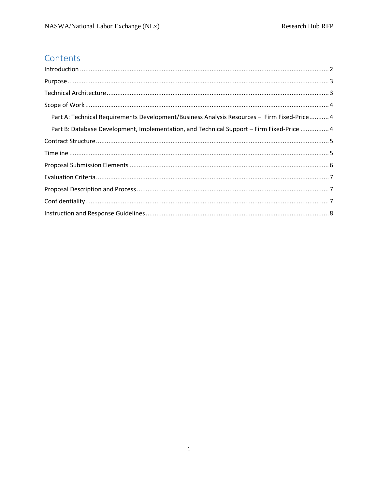# Contents

| Part A: Technical Requirements Development/Business Analysis Resources - Firm Fixed-Price 4 |
|---------------------------------------------------------------------------------------------|
| Part B: Database Development, Implementation, and Technical Support – Firm Fixed-Price  4   |
|                                                                                             |
|                                                                                             |
|                                                                                             |
|                                                                                             |
|                                                                                             |
|                                                                                             |
|                                                                                             |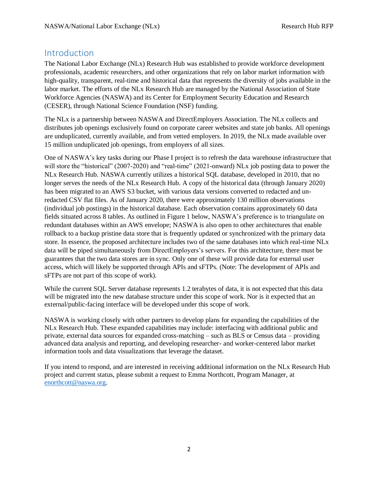### <span id="page-2-0"></span>Introduction

The National Labor Exchange (NLx) Research Hub was established to provide workforce development professionals, academic researchers, and other organizations that rely on labor market information with high-quality, transparent, real-time and historical data that represents the diversity of jobs available in the labor market. The efforts of the NLx Research Hub are managed by the National Association of State Workforce Agencies (NASWA) and its Center for Employment Security Education and Research (CESER), through National Science Foundation (NSF) funding.

The NLx is a partnership between NASWA and DirectEmployers Association. The NLx collects and distributes job openings exclusively found on corporate career websites and state job banks. All openings are unduplicated, currently available, and from vetted employers. In 2019, the NLx made available over 15 million unduplicated job openings, from employers of all sizes.

One of NASWA's key tasks during our Phase I project is to refresh the data warehouse infrastructure that will store the "historical" (2007-2020) and "real-time" (2021-onward) NLx job posting data to power the NLx Research Hub. NASWA currently utilizes a historical SQL database, developed in 2010, that no longer serves the needs of the NLx Research Hub. A copy of the historical data (through January 2020) has been migrated to an AWS S3 bucket, with various data versions converted to redacted and unredacted CSV flat files. As of January 2020, there were approximately 130 million observations (individual job postings) in the historical database. Each observation contains approximately 60 data fields situated across 8 tables. As outlined in Figure 1 below, NASWA's preference is to triangulate on redundant databases within an AWS envelope; NASWA is also open to other architectures that enable rollback to a backup pristine data store that is frequently updated or synchronized with the primary data store. In essence, the proposed architecture includes two of the same databases into which real-time NLx data will be piped simultaneously from DirectEmployers's servers. For this architecture, there must be guarantees that the two data stores are in sync. Only one of these will provide data for external user access, which will likely be supported through APIs and sFTPs. (Note: The development of APIs and sFTPs are not part of this scope of work).

While the current SQL Server database represents 1.2 terabytes of data, it is not expected that this data will be migrated into the new database structure under this scope of work. Nor is it expected that an external/public-facing interface will be developed under this scope of work.

NASWA is working closely with other partners to develop plans for expanding the capabilities of the NLx Research Hub. These expanded capabilities may include: interfacing with additional public and private, external data sources for expanded cross-matching – such as BLS or Census data – providing advanced data analysis and reporting, and developing researcher- and worker-centered labor market information tools and data visualizations that leverage the dataset.

If you intend to respond, and are interested in receiving additional information on the NLx Research Hub project and current status, please submit a request to Emma Northcott, Program Manager, at [enorthcott@naswa.org.](mailto:enorthcott@naswa.org)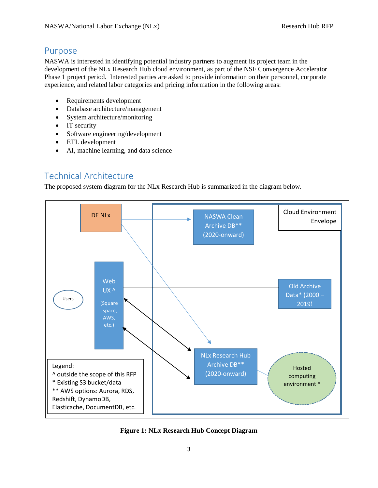## <span id="page-3-0"></span>Purpose

NASWA is interested in identifying potential industry partners to augment its project team in the development of the NLx Research Hub cloud environment, as part of the NSF Convergence Accelerator Phase 1 project period. Interested parties are asked to provide information on their personnel, corporate experience, and related labor categories and pricing information in the following areas:

- Requirements development
- Database architecture/management
- System architecture/monitoring
- IT security
- Software engineering/development
- ETL development
- AI, machine learning, and data science

# <span id="page-3-1"></span>Technical Architecture

The proposed system diagram for the NLx Research Hub is summarized in the diagram below.



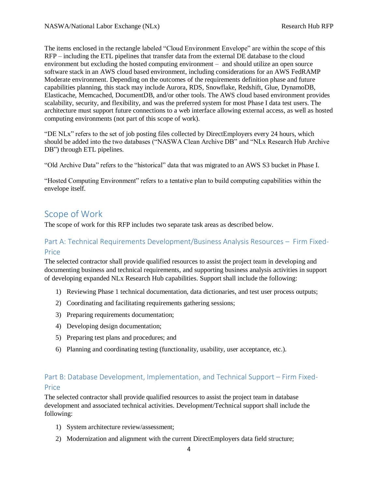The items enclosed in the rectangle labeled "Cloud Environment Envelope" are within the scope of this RFP – including the ETL pipelines that transfer data from the external DE database to the cloud environment but excluding the hosted computing environment – and should utilize an open source software stack in an AWS cloud based environment, including considerations for an AWS FedRAMP Moderate environment. Depending on the outcomes of the requirements definition phase and future capabilities planning, this stack may include Aurora, RDS, Snowflake, Redshift, Glue, DynamoDB, Elasticache, Memcached, DocumentDB, and/or other tools. The AWS cloud based environment provides scalability, security, and flexibility, and was the preferred system for most Phase I data test users. The architecture must support future connections to a web interface allowing external access, as well as hosted computing environments (not part of this scope of work).

"DE NLx" refers to the set of job posting files collected by DirectEmployers every 24 hours, which should be added into the two databases ("NASWA Clean Archive DB" and "NLx Research Hub Archive DB") through ETL pipelines.

"Old Archive Data" refers to the "historical" data that was migrated to an AWS S3 bucket in Phase I.

"Hosted Computing Environment" refers to a tentative plan to build computing capabilities within the envelope itself.

## <span id="page-4-0"></span>Scope of Work

The scope of work for this RFP includes two separate task areas as described below.

### <span id="page-4-1"></span>Part A: Technical Requirements Development/Business Analysis Resources – Firm Fixed-Price

The selected contractor shall provide qualified resources to assist the project team in developing and documenting business and technical requirements, and supporting business analysis activities in support of developing expanded NLx Research Hub capabilities. Support shall include the following:

- 1) Reviewing Phase 1 technical documentation, data dictionaries, and test user process outputs;
- 2) Coordinating and facilitating requirements gathering sessions;
- 3) Preparing requirements documentation;
- 4) Developing design documentation;
- 5) Preparing test plans and procedures; and
- 6) Planning and coordinating testing (functionality, usability, user acceptance, etc.).

### <span id="page-4-2"></span>Part B: Database Development, Implementation, and Technical Support – Firm Fixed-Price

The selected contractor shall provide qualified resources to assist the project team in database development and associated technical activities. Development/Technical support shall include the following:

- 1) System architecture review/assessment;
- 2) Modernization and alignment with the current DirectEmployers data field structure;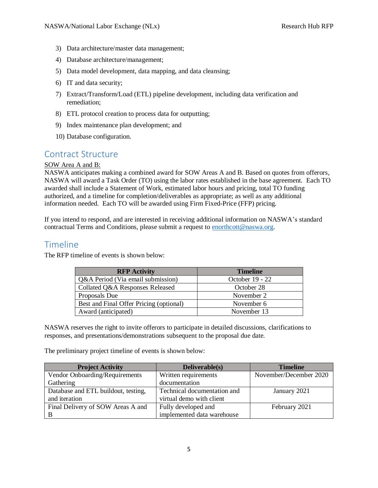- 3) Data architecture/master data management;
- 4) Database architecture/management;
- 5) Data model development, data mapping, and data cleansing;
- 6) IT and data security;
- 7) Extract/Transform/Load (ETL) pipeline development, including data verification and remediation;
- 8) ETL protocol creation to process data for outputting;
- 9) Index maintenance plan development; and
- 10) Database configuration.

### <span id="page-5-0"></span>Contract Structure

#### SOW Area A and B:

NASWA anticipates making a combined award for SOW Areas A and B. Based on quotes from offerors, NASWA will award a Task Order (TO) using the labor rates established in the base agreement. Each TO awarded shall include a Statement of Work, estimated labor hours and pricing, total TO funding authorized, and a timeline for completion/deliverables as appropriate; as well as any additional information needed. Each TO will be awarded using Firm Fixed-Price (FFP) pricing.

If you intend to respond, and are interested in receiving additional information on NASWA's standard contractual Terms and Conditions, please submit a request to [enorthcott@naswa.org.](mailto:enorthcott@naswa.org)

### <span id="page-5-1"></span>Timeline

The RFP timeline of events is shown below:

| <b>RFP Activity</b>                     | <b>Timeline</b> |
|-----------------------------------------|-----------------|
| Q&A Period (Via email submission)       | October 19 - 22 |
| Collated Q&A Responses Released         | October 28      |
| Proposals Due                           | November 2      |
| Best and Final Offer Pricing (optional) | November 6      |
| Award (anticipated)                     | November 13     |

NASWA reserves the right to invite offerors to participate in detailed discussions, clarifications to responses, and presentations/demonstrations subsequent to the proposal due date.

The preliminary project timeline of events is shown below:

| <b>Project Activity</b>             | Deliverable(s)              | <b>Timeline</b>        |
|-------------------------------------|-----------------------------|------------------------|
| Vendor Onboarding/Requirements      | Written requirements        | November/December 2020 |
| Gathering                           | documentation               |                        |
| Database and ETL buildout, testing, | Technical documentation and | January 2021           |
| and iteration                       | virtual demo with client    |                        |
| Final Delivery of SOW Areas A and   | Fully developed and         | February 2021          |
|                                     | implemented data warehouse  |                        |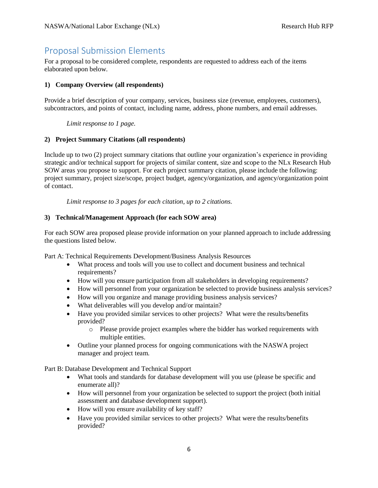# <span id="page-6-0"></span>Proposal Submission Elements

For a proposal to be considered complete, respondents are requested to address each of the items elaborated upon below.

#### **1) Company Overview (all respondents)**

Provide a brief description of your company, services, business size (revenue, employees, customers), subcontractors, and points of contact, including name, address, phone numbers, and email addresses.

*Limit response to 1 page.*

#### **2) Project Summary Citations (all respondents)**

Include up to two (2) project summary citations that outline your organization's experience in providing strategic and/or technical support for projects of similar content, size and scope to the NLx Research Hub SOW areas you propose to support. For each project summary citation, please include the following: project summary, project size/scope, project budget, agency/organization, and agency/organization point of contact.

*Limit response to 3 pages for each citation, up to 2 citations.*

#### **3) Technical/Management Approach (for each SOW area)**

For each SOW area proposed please provide information on your planned approach to include addressing the questions listed below.

Part A: Technical Requirements Development/Business Analysis Resources

- What process and tools will you use to collect and document business and technical requirements?
- How will you ensure participation from all stakeholders in developing requirements?
- How will personnel from your organization be selected to provide business analysis services?
- How will you organize and manage providing business analysis services?
- What deliverables will you develop and/or maintain?
- Have you provided similar services to other projects? What were the results/benefits provided?
	- o Please provide project examples where the bidder has worked requirements with multiple entities.
- Outline your planned process for ongoing communications with the NASWA project manager and project team.

Part B: Database Development and Technical Support

- What tools and standards for database development will you use (please be specific and enumerate all)?
- How will personnel from your organization be selected to support the project (both initial assessment and database development support).
- How will you ensure availability of key staff?
- Have you provided similar services to other projects? What were the results/benefits provided?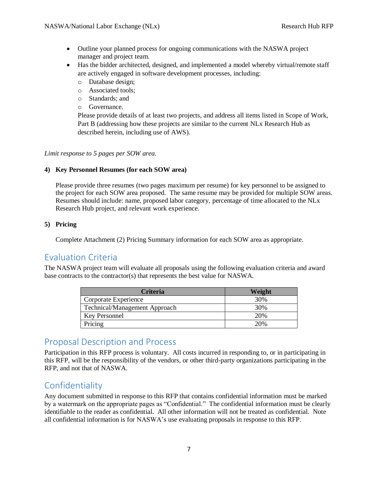- Outline your planned process for ongoing communications with the NASWA project manager and project team.
- Has the bidder architected, designed, and implemented a model whereby virtual/remote staff are actively engaged in software development processes, including:
	- o Database design;
	- o Associated tools;
	- o Standards; and
	- o Governance.

Please provide details of at least two projects, and address all items listed in Scope of Work, Part B (addressing how these projects are similar to the current NLx Research Hub as described herein, including use of AWS).

#### *Limit response to 5 pages per SOW area.*

#### **4) Key Personnel Resumes (for each SOW area)**

Please provide three resumes (two pages maximum per resume) for key personnel to be assigned to the project for each SOW area proposed. The same resume may be provided for multiple SOW areas. Resumes should include: name, proposed labor category, percentage of time allocated to the NLx Research Hub project, and relevant work experience.

#### **5) Pricing**

Complete Attachment (2) Pricing Summary information for each SOW area as appropriate.

### <span id="page-7-0"></span>Evaluation Criteria

The NASWA project team will evaluate all proposals using the following evaluation criteria and award base contracts to the contractor(s) that represents the best value for NASWA.

| <b>Criteria</b>                      | Weight |
|--------------------------------------|--------|
| Corporate Experience                 | 30%    |
| <b>Technical/Management Approach</b> | 30%    |
| Key Personnel                        | 20%    |
| Pricing                              | 20%    |

### <span id="page-7-1"></span>Proposal Description and Process

Participation in this RFP process is voluntary. All costs incurred in responding to, or in participating in this RFP, will be the responsibility of the vendors, or other third-party organizations participating in the RFP, and not that of NASWA.

## <span id="page-7-2"></span>Confidentiality

Any document submitted in response to this RFP that contains confidential information must be marked by a watermark on the appropriate pages as "Confidential." The confidential information must be clearly identifiable to the reader as confidential. All other information will not be treated as confidential. Note all confidential information is for NASWA's use evaluating proposals in response to this RFP.